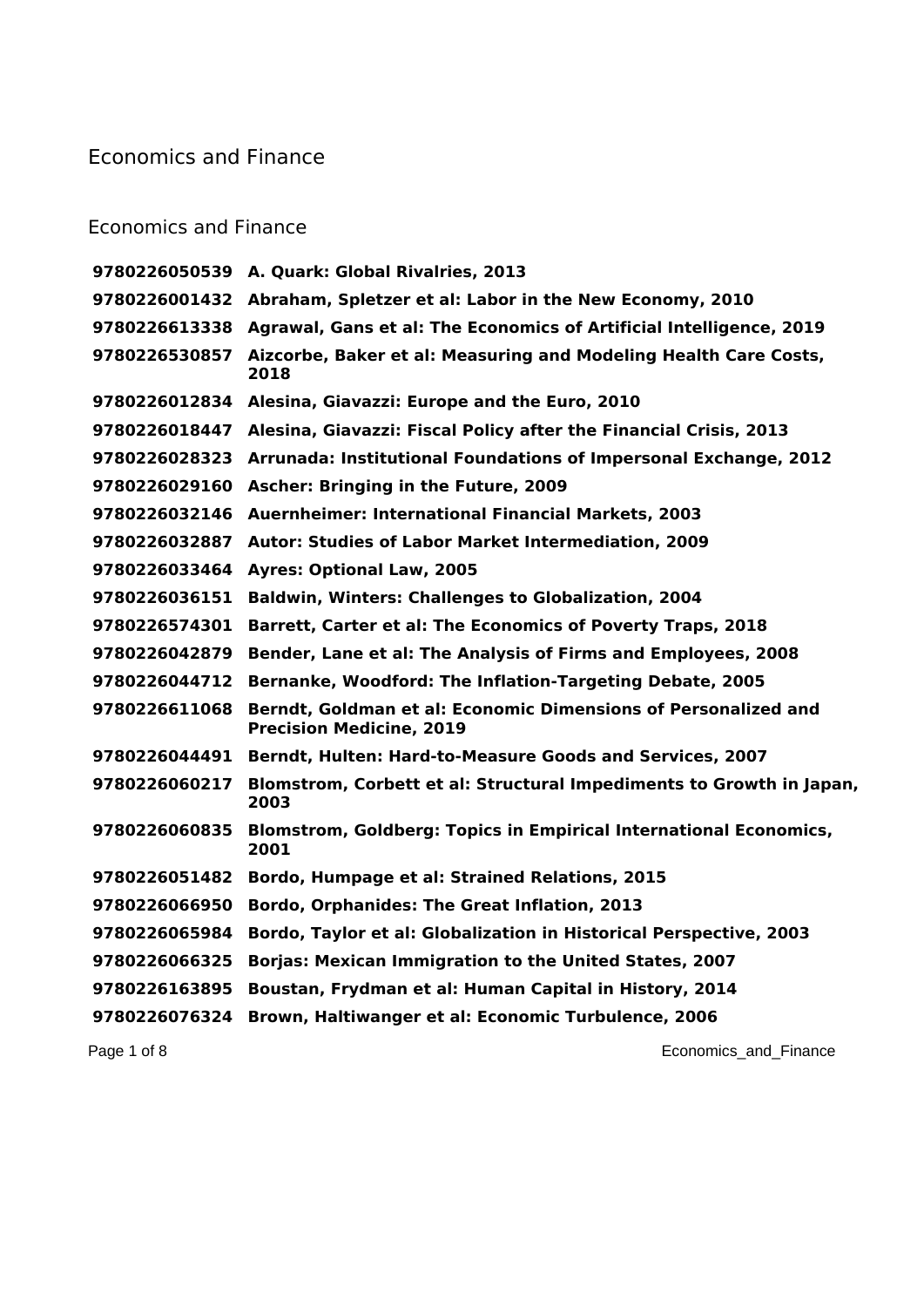## Economics and Finance

## Economics and Finance

| 9780226050539 | A. Quark: Global Rivalries, 2013                                                                  |
|---------------|---------------------------------------------------------------------------------------------------|
|               | 9780226001432 Abraham, Spletzer et al: Labor in the New Economy, 2010                             |
| 9780226613338 | Agrawal, Gans et al: The Economics of Artificial Intelligence, 2019                               |
| 9780226530857 | Aizcorbe, Baker et al: Measuring and Modeling Health Care Costs,<br>2018                          |
| 9780226012834 | Alesina, Giavazzi: Europe and the Euro, 2010                                                      |
| 9780226018447 | Alesina, Giavazzi: Fiscal Policy after the Financial Crisis, 2013                                 |
| 9780226028323 | Arrunada: Institutional Foundations of Impersonal Exchange, 2012                                  |
| 9780226029160 | Ascher: Bringing in the Future, 2009                                                              |
| 9780226032146 | <b>Auernheimer: International Financial Markets, 2003</b>                                         |
| 9780226032887 | Autor: Studies of Labor Market Intermediation, 2009                                               |
| 9780226033464 | <b>Ayres: Optional Law, 2005</b>                                                                  |
| 9780226036151 | <b>Baldwin, Winters: Challenges to Globalization, 2004</b>                                        |
| 9780226574301 | <b>Barrett, Carter et al: The Economics of Poverty Traps, 2018</b>                                |
| 9780226042879 | Bender, Lane et al: The Analysis of Firms and Employees, 2008                                     |
| 9780226044712 | Bernanke, Woodford: The Inflation-Targeting Debate, 2005                                          |
| 9780226611068 | Berndt, Goldman et al: Economic Dimensions of Personalized and<br><b>Precision Medicine, 2019</b> |
| 9780226044491 | Berndt, Hulten: Hard-to-Measure Goods and Services, 2007                                          |
| 9780226060217 | Blomstrom, Corbett et al: Structural Impediments to Growth in Japan,<br>2003                      |
| 9780226060835 | <b>Blomstrom, Goldberg: Topics in Empirical International Economics,</b><br>2001                  |
| 9780226051482 | Bordo, Humpage et al: Strained Relations, 2015                                                    |
| 9780226066950 | Bordo, Orphanides: The Great Inflation, 2013                                                      |
| 9780226065984 | Bordo, Taylor et al: Globalization in Historical Perspective, 2003                                |
| 9780226066325 | <b>Borjas: Mexican Immigration to the United States, 2007</b>                                     |
| 9780226163895 | Boustan, Frydman et al: Human Capital in History, 2014                                            |
| 9780226076324 | Brown, Haltiwanger et al: Economic Turbulence, 2006                                               |
|               |                                                                                                   |

Page 1 of 8 **Page 1 of 8** Economics\_and\_Finance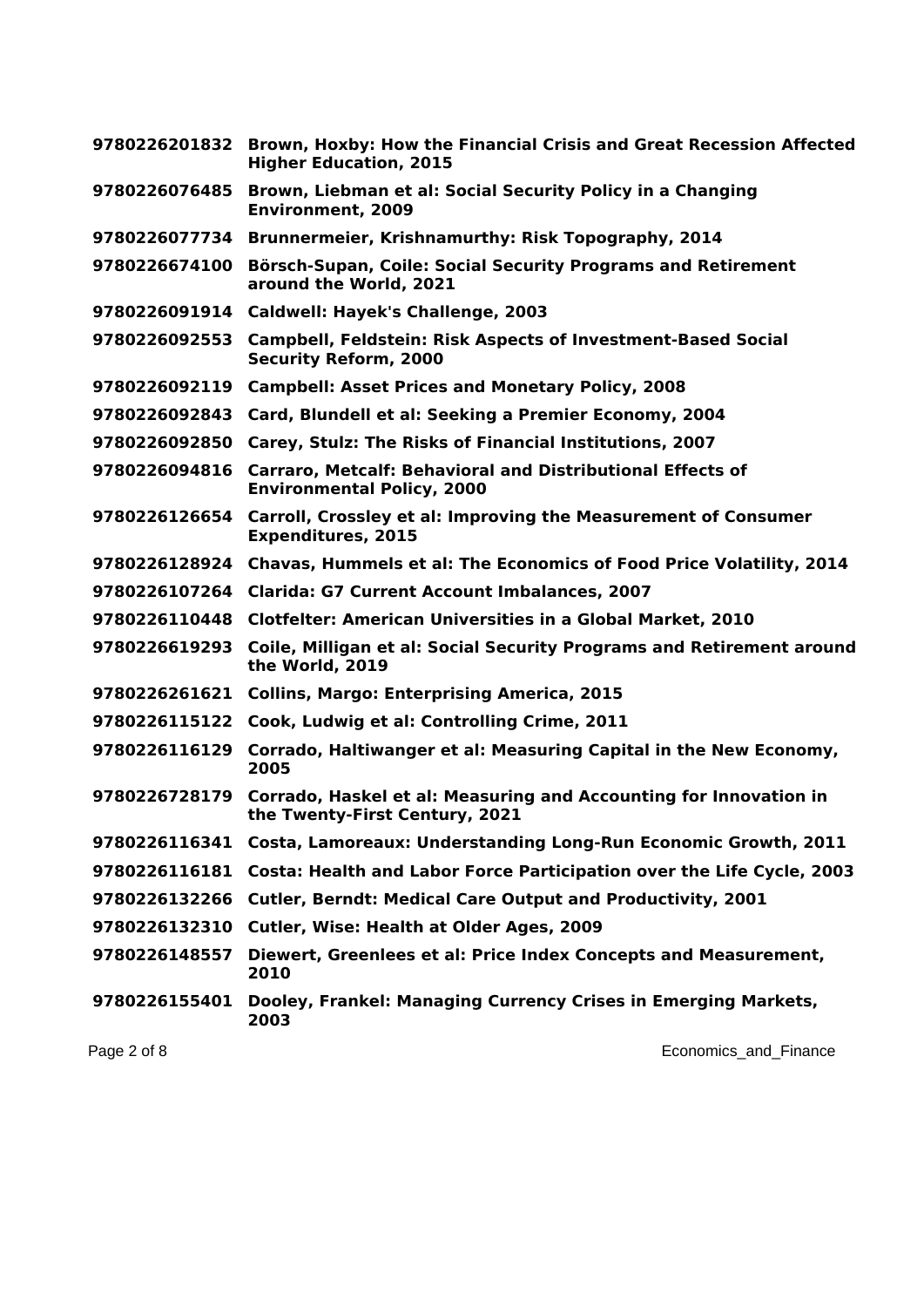| 9780226201832 | Brown, Hoxby: How the Financial Crisis and Great Recession Affected<br><b>Higher Education, 2015</b> |
|---------------|------------------------------------------------------------------------------------------------------|
| 9780226076485 | Brown, Liebman et al: Social Security Policy in a Changing<br><b>Environment, 2009</b>               |
| 9780226077734 | Brunnermeier, Krishnamurthy: Risk Topography, 2014                                                   |
| 9780226674100 | Börsch-Supan, Coile: Social Security Programs and Retirement<br>around the World, 2021               |
|               | 9780226091914 Caldwell: Hayek's Challenge, 2003                                                      |
| 9780226092553 | <b>Campbell, Feldstein: Risk Aspects of Investment-Based Social</b><br><b>Security Reform, 2000</b>  |
| 9780226092119 | <b>Campbell: Asset Prices and Monetary Policy, 2008</b>                                              |
| 9780226092843 | Card, Blundell et al: Seeking a Premier Economy, 2004                                                |
|               | 9780226092850 Carey, Stulz: The Risks of Financial Institutions, 2007                                |
| 9780226094816 | Carraro, Metcalf: Behavioral and Distributional Effects of<br><b>Environmental Policy, 2000</b>      |
| 9780226126654 | Carroll, Crossley et al: Improving the Measurement of Consumer<br><b>Expenditures, 2015</b>          |
| 9780226128924 | Chavas, Hummels et al: The Economics of Food Price Volatility, 2014                                  |
|               | 9780226107264 Clarida: G7 Current Account Imbalances, 2007                                           |
|               | 9780226110448 Clotfelter: American Universities in a Global Market, 2010                             |
| 9780226619293 | Coile, Milligan et al: Social Security Programs and Retirement around<br>the World, 2019             |
| 9780226261621 | <b>Collins, Margo: Enterprising America, 2015</b>                                                    |
|               | 9780226115122 Cook, Ludwig et al: Controlling Crime, 2011                                            |
| 9780226116129 | Corrado, Haltiwanger et al: Measuring Capital in the New Economy,<br>2005                            |
| 9780226728179 | Corrado, Haskel et al: Measuring and Accounting for Innovation in<br>the Twenty-First Century, 2021  |
|               | 9780226116341 Costa, Lamoreaux: Understanding Long-Run Economic Growth, 2011                         |
| 9780226116181 | Costa: Health and Labor Force Participation over the Life Cycle, 2003                                |
| 9780226132266 | <b>Cutler, Berndt: Medical Care Output and Productivity, 2001</b>                                    |
| 9780226132310 | <b>Cutler, Wise: Health at Older Ages, 2009</b>                                                      |
| 9780226148557 | Diewert, Greenlees et al: Price Index Concepts and Measurement,<br>2010                              |
| 9780226155401 | Dooley, Frankel: Managing Currency Crises in Emerging Markets,<br>2003                               |
| Page 2 of 8   | Economics_and_Finance                                                                                |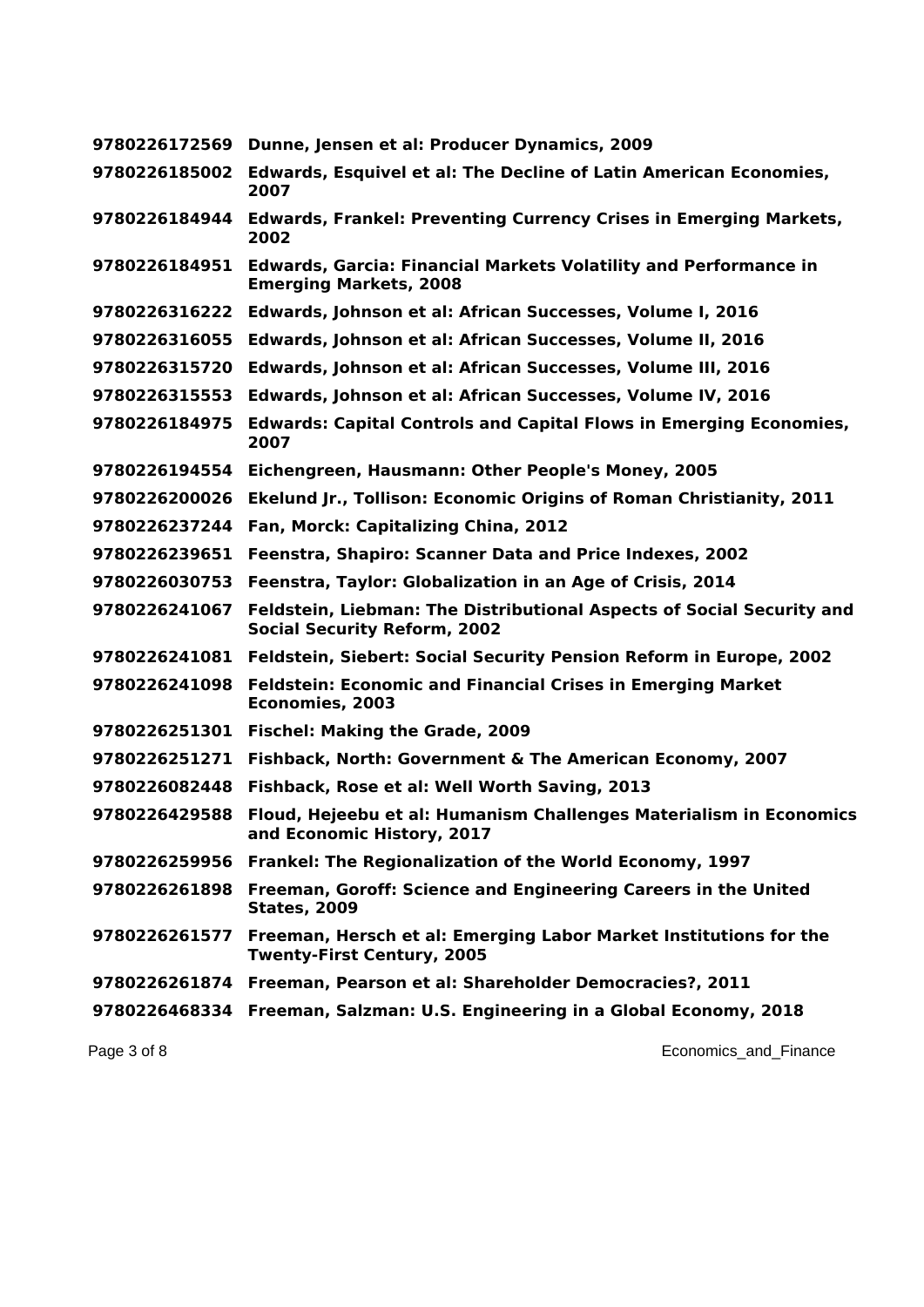| 9780226172569 | Dunne, Jensen et al: Producer Dynamics, 2009                                                                 |
|---------------|--------------------------------------------------------------------------------------------------------------|
| 9780226185002 | <b>Edwards, Esquivel et al: The Decline of Latin American Economies,</b><br>2007                             |
| 9780226184944 | <b>Edwards, Frankel: Preventing Currency Crises in Emerging Markets,</b><br>2002                             |
| 9780226184951 | <b>Edwards, Garcia: Financial Markets Volatility and Performance in</b><br><b>Emerging Markets, 2008</b>     |
| 9780226316222 | Edwards, Johnson et al: African Successes, Volume I, 2016                                                    |
| 9780226316055 | Edwards, Johnson et al: African Successes, Volume II, 2016                                                   |
| 9780226315720 | Edwards, Johnson et al: African Successes, Volume III, 2016                                                  |
| 9780226315553 | Edwards, Johnson et al: African Successes, Volume IV, 2016                                                   |
| 9780226184975 | <b>Edwards: Capital Controls and Capital Flows in Emerging Economies,</b><br>2007                            |
| 9780226194554 | Eichengreen, Hausmann: Other People's Money, 2005                                                            |
| 9780226200026 | Ekelund Jr., Tollison: Economic Origins of Roman Christianity, 2011                                          |
| 9780226237244 | Fan, Morck: Capitalizing China, 2012                                                                         |
| 9780226239651 | Feenstra, Shapiro: Scanner Data and Price Indexes, 2002                                                      |
| 9780226030753 | Feenstra, Taylor: Globalization in an Age of Crisis, 2014                                                    |
| 9780226241067 | Feldstein, Liebman: The Distributional Aspects of Social Security and<br><b>Social Security Reform, 2002</b> |
| 9780226241081 | Feldstein, Siebert: Social Security Pension Reform in Europe, 2002                                           |
| 9780226241098 | <b>Feldstein: Economic and Financial Crises in Emerging Market</b><br>Economies, 2003                        |
| 9780226251301 | <b>Fischel: Making the Grade, 2009</b>                                                                       |
| 9780226251271 | Fishback, North: Government & The American Economy, 2007                                                     |
| 9780226082448 | Fishback, Rose et al: Well Worth Saving, 2013                                                                |
| 9780226429588 | Floud, Hejeebu et al: Humanism Challenges Materialism in Economics<br>and Economic History, 2017             |
| 9780226259956 | Frankel: The Regionalization of the World Economy, 1997                                                      |
| 9780226261898 | Freeman, Goroff: Science and Engineering Careers in the United<br><b>States, 2009</b>                        |
| 9780226261577 | Freeman, Hersch et al: Emerging Labor Market Institutions for the<br><b>Twenty-First Century, 2005</b>       |
| 9780226261874 | Freeman, Pearson et al: Shareholder Democracies?, 2011                                                       |
| 9780226468334 | Freeman, Salzman: U.S. Engineering in a Global Economy, 2018                                                 |

Page 3 of 8 **Page 3 of 8** Economics\_and\_Finance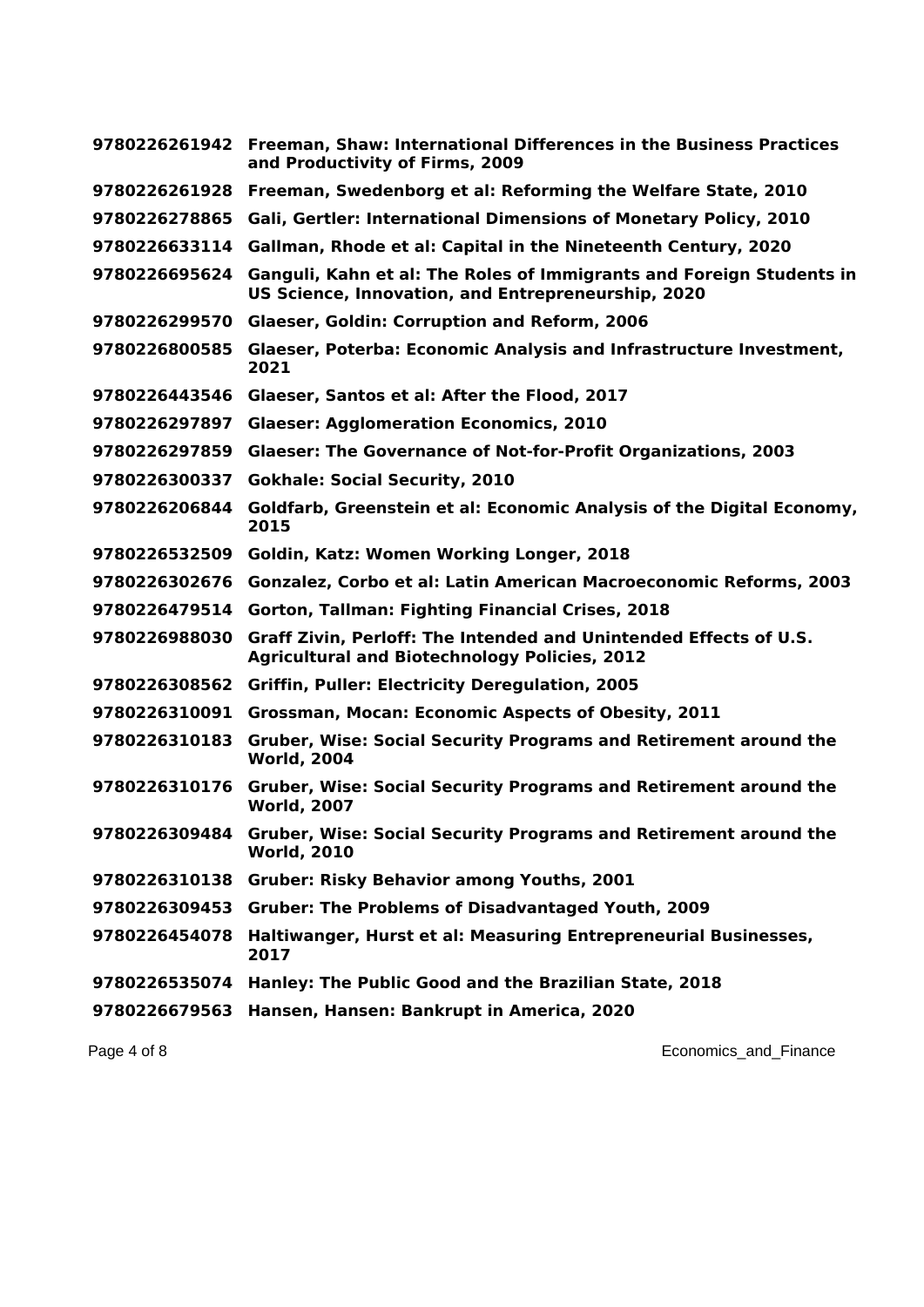|               | 9780226261942 Freeman, Shaw: International Differences in the Business Practices<br>and Productivity of Firms, 2009        |
|---------------|----------------------------------------------------------------------------------------------------------------------------|
| 9780226261928 | Freeman, Swedenborg et al: Reforming the Welfare State, 2010                                                               |
| 9780226278865 | Gali, Gertler: International Dimensions of Monetary Policy, 2010                                                           |
| 9780226633114 | Gallman, Rhode et al: Capital in the Nineteenth Century, 2020                                                              |
| 9780226695624 | Ganguli, Kahn et al: The Roles of Immigrants and Foreign Students in<br>US Science, Innovation, and Entrepreneurship, 2020 |
| 9780226299570 | <b>Glaeser, Goldin: Corruption and Reform, 2006</b>                                                                        |
| 9780226800585 | Glaeser, Poterba: Economic Analysis and Infrastructure Investment,<br>2021                                                 |
| 9780226443546 | Glaeser, Santos et al: After the Flood, 2017                                                                               |
| 9780226297897 | <b>Glaeser: Agglomeration Economics, 2010</b>                                                                              |
| 9780226297859 | <b>Glaeser: The Governance of Not-for-Profit Organizations, 2003</b>                                                       |
| 9780226300337 | <b>Gokhale: Social Security, 2010</b>                                                                                      |
| 9780226206844 | Goldfarb, Greenstein et al: Economic Analysis of the Digital Economy,<br>2015                                              |
| 9780226532509 | Goldin, Katz: Women Working Longer, 2018                                                                                   |
| 9780226302676 | Gonzalez, Corbo et al: Latin American Macroeconomic Reforms, 2003                                                          |
| 9780226479514 | Gorton, Tallman: Fighting Financial Crises, 2018                                                                           |
| 9780226988030 | Graff Zivin, Perloff: The Intended and Unintended Effects of U.S.<br><b>Agricultural and Biotechnology Policies, 2012</b>  |
| 9780226308562 | <b>Griffin, Puller: Electricity Deregulation, 2005</b>                                                                     |
| 9780226310091 | Grossman, Mocan: Economic Aspects of Obesity, 2011                                                                         |
| 9780226310183 | <b>Gruber, Wise: Social Security Programs and Retirement around the</b><br><b>World, 2004</b>                              |
| 9780226310176 | <b>Gruber, Wise: Social Security Programs and Retirement around the</b><br><b>World, 2007</b>                              |
| 9780226309484 | Gruber, Wise: Social Security Programs and Retirement around the<br><b>World, 2010</b>                                     |
| 9780226310138 | <b>Gruber: Risky Behavior among Youths, 2001</b>                                                                           |
|               | 9780226309453 Gruber: The Problems of Disadvantaged Youth, 2009                                                            |
| 9780226454078 | Haltiwanger, Hurst et al: Measuring Entrepreneurial Businesses,<br>2017                                                    |
| 9780226535074 | Hanley: The Public Good and the Brazilian State, 2018                                                                      |
| 9780226679563 | Hansen, Hansen: Bankrupt in America, 2020                                                                                  |

Page 4 of 8 **Economics\_and\_Finance Economics\_and\_Finance**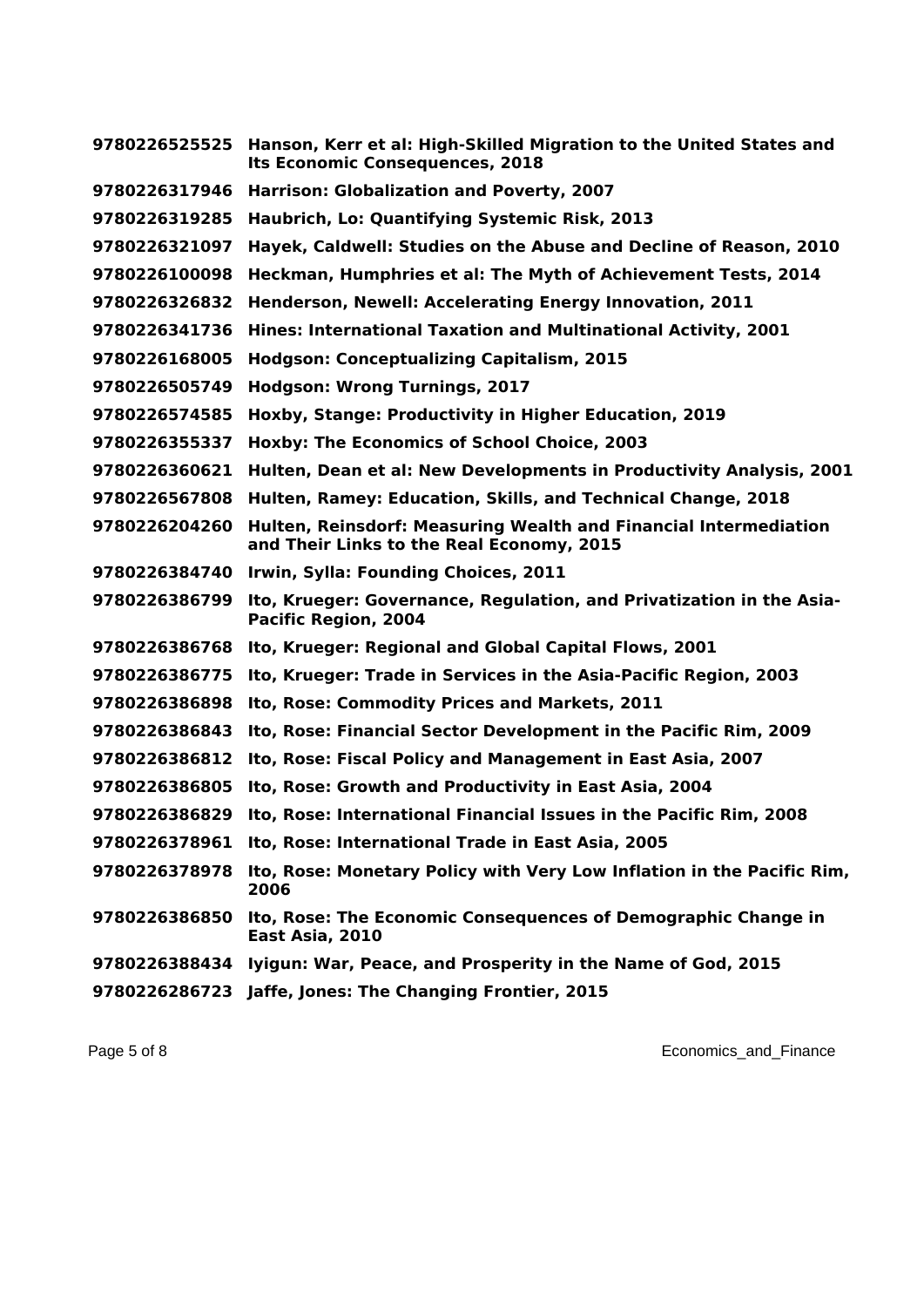| 9780226525525 | Hanson, Kerr et al: High-Skilled Migration to the United States and<br><b>Its Economic Consequences, 2018</b> |
|---------------|---------------------------------------------------------------------------------------------------------------|
| 9780226317946 | Harrison: Globalization and Poverty, 2007                                                                     |
| 9780226319285 | Haubrich, Lo: Quantifying Systemic Risk, 2013                                                                 |
| 9780226321097 | Hayek, Caldwell: Studies on the Abuse and Decline of Reason, 2010                                             |
| 9780226100098 | Heckman, Humphries et al: The Myth of Achievement Tests, 2014                                                 |
| 9780226326832 | Henderson, Newell: Accelerating Energy Innovation, 2011                                                       |
| 9780226341736 | Hines: International Taxation and Multinational Activity, 2001                                                |
| 9780226168005 | <b>Hodgson: Conceptualizing Capitalism, 2015</b>                                                              |
| 9780226505749 | <b>Hodgson: Wrong Turnings, 2017</b>                                                                          |
| 9780226574585 | Hoxby, Stange: Productivity in Higher Education, 2019                                                         |
| 9780226355337 | Hoxby: The Economics of School Choice, 2003                                                                   |
| 9780226360621 | Hulten, Dean et al: New Developments in Productivity Analysis, 2001                                           |
| 9780226567808 | Hulten, Ramey: Education, Skills, and Technical Change, 2018                                                  |
| 9780226204260 | Hulten, Reinsdorf: Measuring Wealth and Financial Intermediation<br>and Their Links to the Real Economy, 2015 |
| 9780226384740 | Irwin, Sylla: Founding Choices, 2011                                                                          |
| 9780226386799 | Ito, Krueger: Governance, Regulation, and Privatization in the Asia-<br>Pacific Region, 2004                  |
| 9780226386768 | Ito, Krueger: Regional and Global Capital Flows, 2001                                                         |
| 9780226386775 | Ito, Krueger: Trade in Services in the Asia-Pacific Region, 2003                                              |
| 9780226386898 | Ito, Rose: Commodity Prices and Markets, 2011                                                                 |
| 9780226386843 | Ito, Rose: Financial Sector Development in the Pacific Rim, 2009                                              |
| 9780226386812 | Ito, Rose: Fiscal Policy and Management in East Asia, 2007                                                    |
| 9780226386805 | Ito, Rose: Growth and Productivity in East Asia, 2004                                                         |
| 9780226386829 | Ito, Rose: International Financial Issues in the Pacific Rim, 2008                                            |
|               | 9780226378961 Ito, Rose: International Trade in East Asia, 2005                                               |
| 9780226378978 | Ito, Rose: Monetary Policy with Very Low Inflation in the Pacific Rim,<br>2006                                |
| 9780226386850 | Ito, Rose: The Economic Consequences of Demographic Change in<br>East Asia, 2010                              |
| 9780226388434 | Iyigun: War, Peace, and Prosperity in the Name of God, 2015                                                   |
|               | 9780226286723 Jaffe, Jones: The Changing Frontier, 2015                                                       |

Page 5 of 8 **Page 5 of 8** Economics\_and\_Finance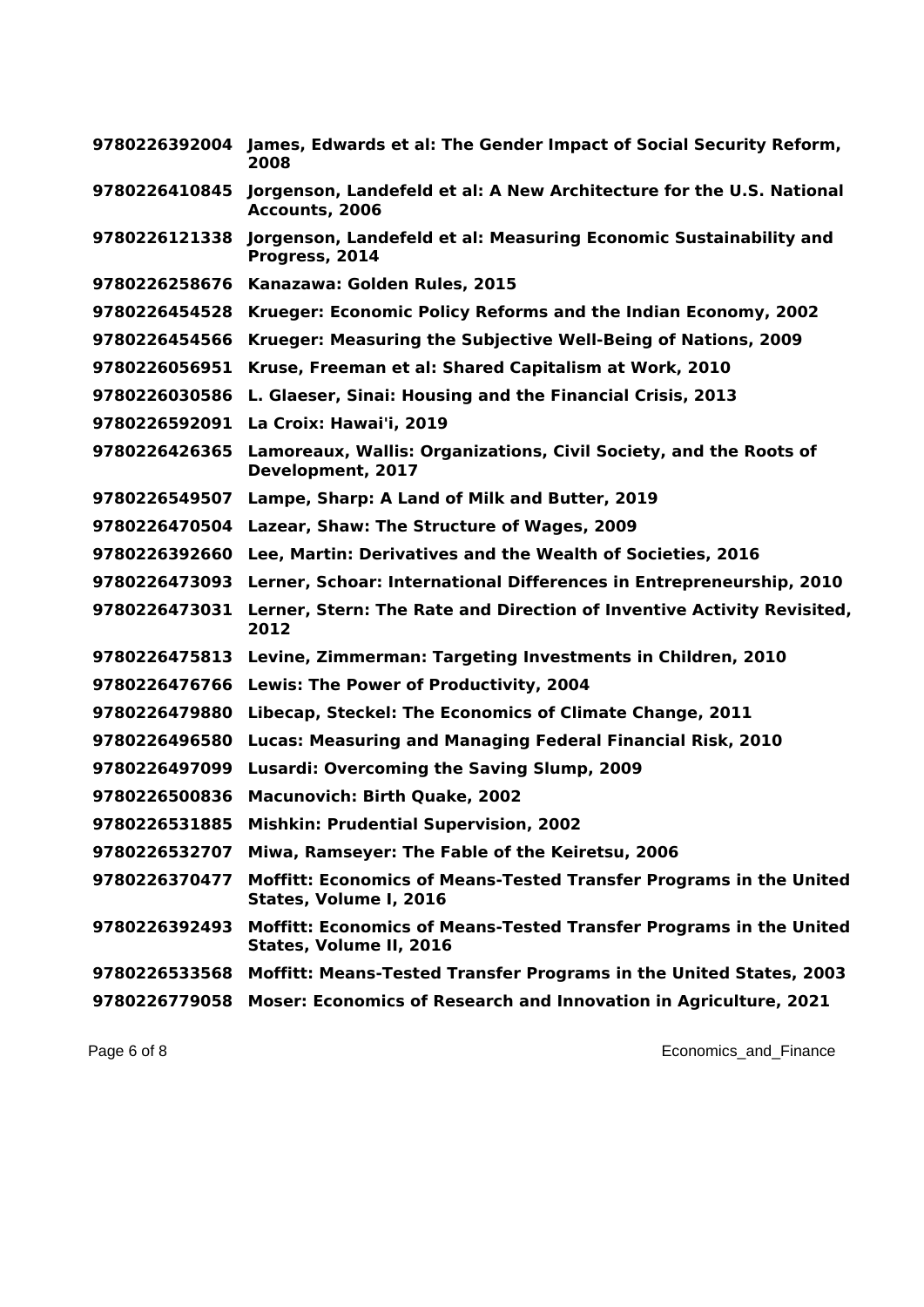|               | 9780226392004 James, Edwards et al: The Gender Impact of Social Security Reform,<br>2008      |
|---------------|-----------------------------------------------------------------------------------------------|
| 9780226410845 | Jorgenson, Landefeld et al: A New Architecture for the U.S. National<br>Accounts, 2006        |
| 9780226121338 | Jorgenson, Landefeld et al: Measuring Economic Sustainability and<br>Progress, 2014           |
| 9780226258676 | Kanazawa: Golden Rules, 2015                                                                  |
| 9780226454528 | Krueger: Economic Policy Reforms and the Indian Economy, 2002                                 |
| 9780226454566 | Krueger: Measuring the Subjective Well-Being of Nations, 2009                                 |
| 9780226056951 | Kruse, Freeman et al: Shared Capitalism at Work, 2010                                         |
| 9780226030586 | L. Glaeser, Sinai: Housing and the Financial Crisis, 2013                                     |
| 9780226592091 | La Croix: Hawai'i, 2019                                                                       |
| 9780226426365 | Lamoreaux, Wallis: Organizations, Civil Society, and the Roots of<br>Development, 2017        |
| 9780226549507 | Lampe, Sharp: A Land of Milk and Butter, 2019                                                 |
| 9780226470504 | Lazear, Shaw: The Structure of Wages, 2009                                                    |
| 9780226392660 | Lee, Martin: Derivatives and the Wealth of Societies, 2016                                    |
| 9780226473093 | Lerner, Schoar: International Differences in Entrepreneurship, 2010                           |
| 9780226473031 | Lerner, Stern: The Rate and Direction of Inventive Activity Revisited,<br>2012                |
| 9780226475813 | Levine, Zimmerman: Targeting Investments in Children, 2010                                    |
| 9780226476766 | Lewis: The Power of Productivity, 2004                                                        |
| 9780226479880 | Libecap, Steckel: The Economics of Climate Change, 2011                                       |
| 9780226496580 | Lucas: Measuring and Managing Federal Financial Risk, 2010                                    |
| 9780226497099 | <b>Lusardi: Overcoming the Saving Slump, 2009</b>                                             |
| 9780226500836 | <b>Macunovich: Birth Quake, 2002</b>                                                          |
| 9780226531885 | <b>Mishkin: Prudential Supervision, 2002</b>                                                  |
| 9780226532707 | Miwa, Ramseyer: The Fable of the Keiretsu, 2006                                               |
| 9780226370477 | Moffitt: Economics of Means-Tested Transfer Programs in the United<br>States, Volume I, 2016  |
| 9780226392493 | Moffitt: Economics of Means-Tested Transfer Programs in the United<br>States, Volume II, 2016 |
| 9780226533568 | Moffitt: Means-Tested Transfer Programs in the United States, 2003                            |
| 9780226779058 | Moser: Economics of Research and Innovation in Agriculture, 2021                              |

Page 6 of 8 **Page 6 of 8** Economics\_and\_Finance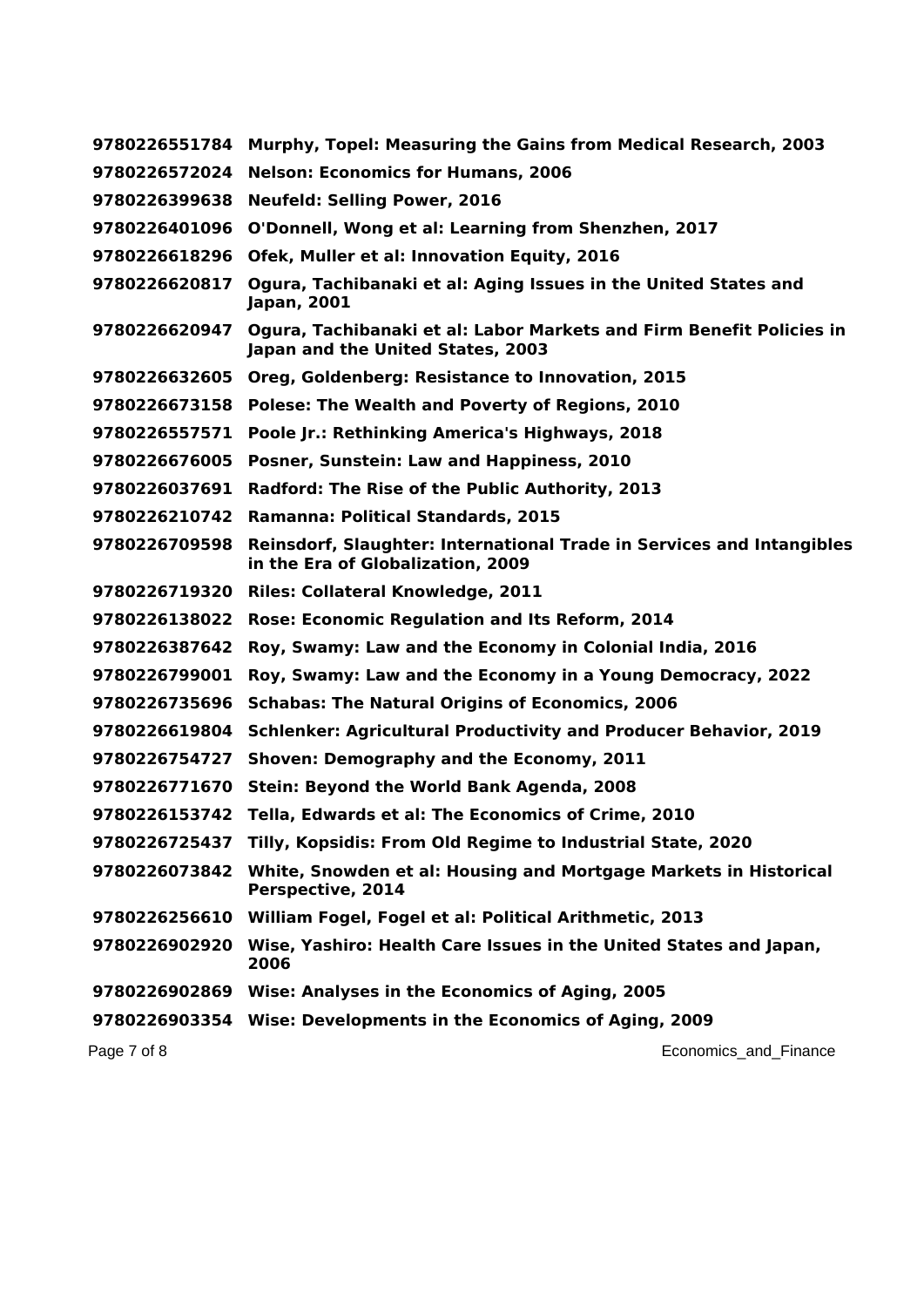| 9780226551784 | Murphy, Topel: Measuring the Gains from Medical Research, 2003                                             |
|---------------|------------------------------------------------------------------------------------------------------------|
| 9780226572024 | <b>Nelson: Economics for Humans, 2006</b>                                                                  |
| 9780226399638 | <b>Neufeld: Selling Power, 2016</b>                                                                        |
| 9780226401096 | O'Donnell, Wong et al: Learning from Shenzhen, 2017                                                        |
| 9780226618296 | Ofek, Muller et al: Innovation Equity, 2016                                                                |
| 9780226620817 | Ogura, Tachibanaki et al: Aging Issues in the United States and<br>Japan, 2001                             |
| 9780226620947 | Ogura, Tachibanaki et al: Labor Markets and Firm Benefit Policies in<br>Japan and the United States, 2003  |
| 9780226632605 | Oreg, Goldenberg: Resistance to Innovation, 2015                                                           |
| 9780226673158 | Polese: The Wealth and Poverty of Regions, 2010                                                            |
| 9780226557571 | Poole Jr.: Rethinking America's Highways, 2018                                                             |
| 9780226676005 | Posner, Sunstein: Law and Happiness, 2010                                                                  |
| 9780226037691 | Radford: The Rise of the Public Authority, 2013                                                            |
| 9780226210742 | Ramanna: Political Standards, 2015                                                                         |
| 9780226709598 | Reinsdorf, Slaughter: International Trade in Services and Intangibles<br>in the Era of Globalization, 2009 |
| 9780226719320 | <b>Riles: Collateral Knowledge, 2011</b>                                                                   |
| 9780226138022 | Rose: Economic Regulation and Its Reform, 2014                                                             |
| 9780226387642 | Roy, Swamy: Law and the Economy in Colonial India, 2016                                                    |
| 9780226799001 | Roy, Swamy: Law and the Economy in a Young Democracy, 2022                                                 |
| 9780226735696 | <b>Schabas: The Natural Origins of Economics, 2006</b>                                                     |
| 9780226619804 | <b>Schlenker: Agricultural Productivity and Producer Behavior, 2019</b>                                    |
| 9780226754727 | Shoven: Demography and the Economy, 2011                                                                   |
| 9780226771670 | Stein: Beyond the World Bank Agenda, 2008                                                                  |
| 9780226153742 | Tella, Edwards et al: The Economics of Crime, 2010                                                         |
|               | 9780226725437 Tilly, Kopsidis: From Old Regime to Industrial State, 2020                                   |
| 9780226073842 | White, Snowden et al: Housing and Mortgage Markets in Historical<br>Perspective, 2014                      |
| 9780226256610 | William Fogel, Fogel et al: Political Arithmetic, 2013                                                     |
| 9780226902920 | Wise, Yashiro: Health Care Issues in the United States and Japan,<br>2006                                  |
|               | 9780226902869 Wise: Analyses in the Economics of Aging, 2005                                               |
|               | 9780226903354 Wise: Developments in the Economics of Aging, 2009                                           |
| Page 7 of 8   | Economics_and_Finance                                                                                      |